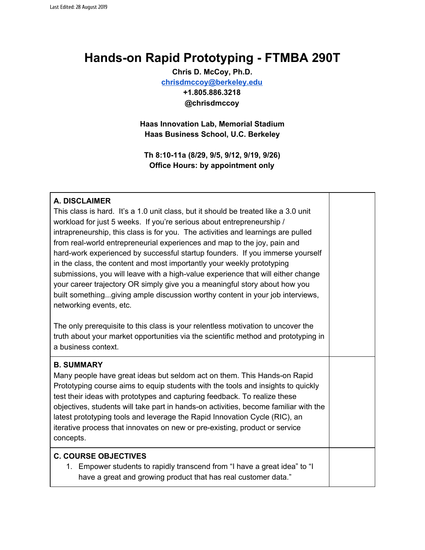# **Hands-on Rapid Prototyping - FTMBA 290T**

**Chris D. McCoy, Ph.D. [chrisdmccoy@berkeley.edu](mailto:chrisdmccoy@berkeley.edu) +1.805.886.3218 @chrisdmccoy**

**Haas Innovation Lab, Memorial Stadium Haas Business School, U.C. Berkeley**

**Th 8:10-11a (8/29, 9/5, 9/12, 9/19, 9/26) Office Hours: by appointment only**

#### **A. DISCLAIMER**

This class is hard. It's a 1.0 unit class, but it should be treated like a 3.0 unit workload for just 5 weeks. If you're serious about entrepreneurship / intrapreneurship, this class is for you. The activities and learnings are pulled from real-world entrepreneurial experiences and map to the joy, pain and hard-work experienced by successful startup founders. If you immerse yourself in the class, the content and most importantly your weekly prototyping submissions, you will leave with a high-value experience that will either change your career trajectory OR simply give you a meaningful story about how you built something...giving ample discussion worthy content in your job interviews, networking events, etc.

The only prerequisite to this class is your relentless motivation to uncover the truth about your market opportunities via the scientific method and prototyping in a business context.

#### **B. SUMMARY**

Many people have great ideas but seldom act on them. This Hands-on Rapid Prototyping course aims to equip students with the tools and insights to quickly test their ideas with prototypes and capturing feedback. To realize these objectives, students will take part in hands-on activities, become familiar with the latest prototyping tools and leverage the Rapid Innovation Cycle (RIC), an iterative process that innovates on new or pre-existing, product or service concepts.

#### **C. COURSE OBJECTIVES**

1. Empower students to rapidly transcend from "I have a great idea" to "I have a great and growing product that has real customer data."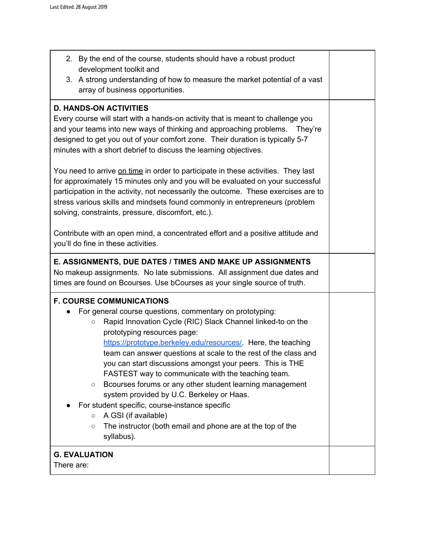| 2. By the end of the course, students should have a robust product<br>development toolkit and<br>3. A strong understanding of how to measure the market potential of a vast<br>array of business opportunities.                                                                                                                                                                                                                                                                                                                                                                                                                                                                                                                                       |  |  |  |  |
|-------------------------------------------------------------------------------------------------------------------------------------------------------------------------------------------------------------------------------------------------------------------------------------------------------------------------------------------------------------------------------------------------------------------------------------------------------------------------------------------------------------------------------------------------------------------------------------------------------------------------------------------------------------------------------------------------------------------------------------------------------|--|--|--|--|
| <b>D. HANDS-ON ACTIVITIES</b><br>Every course will start with a hands-on activity that is meant to challenge you<br>and your teams into new ways of thinking and approaching problems. They're<br>designed to get you out of your comfort zone. Their duration is typically 5-7<br>minutes with a short debrief to discuss the learning objectives.<br>You need to arrive on time in order to participate in these activities. They last<br>for approximately 15 minutes only and you will be evaluated on your successful<br>participation in the activity, not necessarily the outcome. These exercises are to<br>stress various skills and mindsets found commonly in entrepreneurs (problem<br>solving, constraints, pressure, discomfort, etc.). |  |  |  |  |
| Contribute with an open mind, a concentrated effort and a positive attitude and<br>you'll do fine in these activities.                                                                                                                                                                                                                                                                                                                                                                                                                                                                                                                                                                                                                                |  |  |  |  |
| E. ASSIGNMENTS, DUE DATES / TIMES AND MAKE UP ASSIGNMENTS<br>No makeup assignments. No late submissions. All assignment due dates and<br>times are found on Bcourses. Use bCourses as your single source of truth.                                                                                                                                                                                                                                                                                                                                                                                                                                                                                                                                    |  |  |  |  |
| <b>F. COURSE COMMUNICATIONS</b><br>For general course questions, commentary on prototyping:<br>Rapid Innovation Cycle (RIC) Slack Channel linked-to on the<br>$\circ$<br>prototyping resources page:<br>https://prototype.berkeley.edu/resources/. Here, the teaching<br>team can answer questions at scale to the rest of the class and<br>you can start discussions amongst your peers. This is THE<br>FASTEST way to communicate with the teaching team.<br>Bcourses forums or any other student learning management<br>O<br>system provided by U.C. Berkeley or Haas.<br>For student specific, course-instance specific<br>A GSI (if available)<br>$\circ$<br>The instructor (both email and phone are at the top of the<br>$\circ$<br>syllabus). |  |  |  |  |
| <b>G. EVALUATION</b><br>There are:                                                                                                                                                                                                                                                                                                                                                                                                                                                                                                                                                                                                                                                                                                                    |  |  |  |  |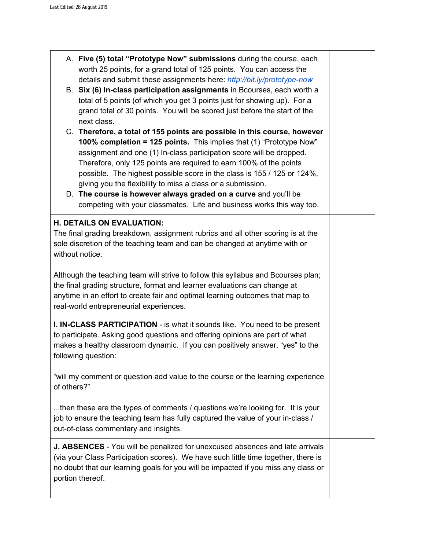|                                                                                                                                                                                                            | A. Five (5) total "Prototype Now" submissions during the course, each<br>worth 25 points, for a grand total of 125 points. You can access the<br>details and submit these assignments here: http://bit.ly/prototype-now<br>B. Six (6) In-class participation assignments in Bcourses, each worth a<br>total of 5 points (of which you get 3 points just for showing up). For a<br>grand total of 30 points. You will be scored just before the start of the<br>next class.                                                                                                          |  |  |  |  |  |
|------------------------------------------------------------------------------------------------------------------------------------------------------------------------------------------------------------|-------------------------------------------------------------------------------------------------------------------------------------------------------------------------------------------------------------------------------------------------------------------------------------------------------------------------------------------------------------------------------------------------------------------------------------------------------------------------------------------------------------------------------------------------------------------------------------|--|--|--|--|--|
|                                                                                                                                                                                                            | C. Therefore, a total of 155 points are possible in this course, however<br>100% completion = 125 points. This implies that (1) "Prototype Now"<br>assignment and one (1) In-class participation score will be dropped.<br>Therefore, only 125 points are required to earn 100% of the points<br>possible. The highest possible score in the class is 155 / 125 or 124%,<br>giving you the flexibility to miss a class or a submission.<br>D. The course is however always graded on a curve and you'll be<br>competing with your classmates. Life and business works this way too. |  |  |  |  |  |
|                                                                                                                                                                                                            | <b>H. DETAILS ON EVALUATION:</b><br>The final grading breakdown, assignment rubrics and all other scoring is at the<br>sole discretion of the teaching team and can be changed at anytime with or<br>without notice.<br>Although the teaching team will strive to follow this syllabus and Bcourses plan;<br>the final grading structure, format and learner evaluations can change at<br>anytime in an effort to create fair and optimal learning outcomes that map to<br>real-world entrepreneurial experiences.                                                                  |  |  |  |  |  |
|                                                                                                                                                                                                            | <b>I. IN-CLASS PARTICIPATION</b> - is what it sounds like. You need to be present<br>to participate. Asking good questions and offering opinions are part of what<br>makes a healthy classroom dynamic. If you can positively answer, "yes" to the<br>following question:                                                                                                                                                                                                                                                                                                           |  |  |  |  |  |
| "will my comment or question add value to the course or the learning experience<br>of others?"                                                                                                             |                                                                                                                                                                                                                                                                                                                                                                                                                                                                                                                                                                                     |  |  |  |  |  |
| then these are the types of comments / questions we're looking for. It is your<br>job to ensure the teaching team has fully captured the value of your in-class /<br>out-of-class commentary and insights. |                                                                                                                                                                                                                                                                                                                                                                                                                                                                                                                                                                                     |  |  |  |  |  |
|                                                                                                                                                                                                            | <b>J. ABSENCES</b> - You will be penalized for unexcused absences and late arrivals<br>(via your Class Participation scores). We have such little time together, there is<br>no doubt that our learning goals for you will be impacted if you miss any class or<br>portion thereof.                                                                                                                                                                                                                                                                                                 |  |  |  |  |  |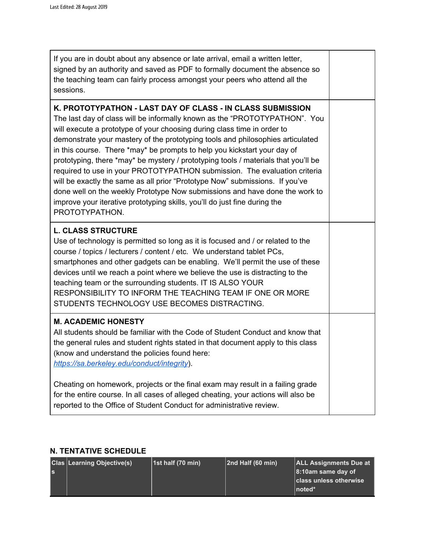| If you are in doubt about any absence or late arrival, email a written letter,<br>signed by an authority and saved as PDF to formally document the absence so<br>the teaching team can fairly process amongst your peers who attend all the<br>sessions.                                                                                                                                                                                                                                                                                                                                                                                                                                                                                                                                                           |  |
|--------------------------------------------------------------------------------------------------------------------------------------------------------------------------------------------------------------------------------------------------------------------------------------------------------------------------------------------------------------------------------------------------------------------------------------------------------------------------------------------------------------------------------------------------------------------------------------------------------------------------------------------------------------------------------------------------------------------------------------------------------------------------------------------------------------------|--|
| K. PROTOTYPATHON - LAST DAY OF CLASS - IN CLASS SUBMISSION<br>The last day of class will be informally known as the "PROTOTYPATHON". You<br>will execute a prototype of your choosing during class time in order to<br>demonstrate your mastery of the prototyping tools and philosophies articulated<br>in this course. There *may* be prompts to help you kickstart your day of<br>prototyping, there *may* be mystery / prototyping tools / materials that you'll be<br>required to use in your PROTOTYPATHON submission. The evaluation criteria<br>will be exactly the same as all prior "Prototype Now" submissions. If you've<br>done well on the weekly Prototype Now submissions and have done the work to<br>improve your iterative prototyping skills, you'll do just fine during the<br>PROTOTYPATHON. |  |
| <b>L. CLASS STRUCTURE</b><br>Use of technology is permitted so long as it is focused and / or related to the<br>course / topics / lecturers / content / etc. We understand tablet PCs,<br>smartphones and other gadgets can be enabling. We'll permit the use of these<br>devices until we reach a point where we believe the use is distracting to the<br>teaching team or the surrounding students. IT IS ALSO YOUR<br>RESPONSIBILITY TO INFORM THE TEACHING TEAM IF ONE OR MORE<br>STUDENTS TECHNOLOGY USE BECOMES DISTRACTING.                                                                                                                                                                                                                                                                                 |  |
| <b>M. ACADEMIC HONESTY</b><br>All students should be familiar with the Code of Student Conduct and know that<br>the general rules and student rights stated in that document apply to this class<br>(know and understand the policies found here:<br>https://sa.berkeley.edu/conduct/integrity).                                                                                                                                                                                                                                                                                                                                                                                                                                                                                                                   |  |
| Cheating on homework, projects or the final exam may result in a failing grade<br>for the entire course. In all cases of alleged cheating, your actions will also be<br>reported to the Office of Student Conduct for administrative review.                                                                                                                                                                                                                                                                                                                                                                                                                                                                                                                                                                       |  |

## **N. TENTATIVE SCHEDULE**

|    | <b>Clas Learning Objective(s)</b> | $ 1st$ half (70 min) | $ 2nd$ Half (60 min) | <b>ALL Assignments Due at</b><br>$ 8:10$ am same day of |
|----|-----------------------------------|----------------------|----------------------|---------------------------------------------------------|
| ls |                                   |                      |                      | class unless otherwise<br>$ noted*$                     |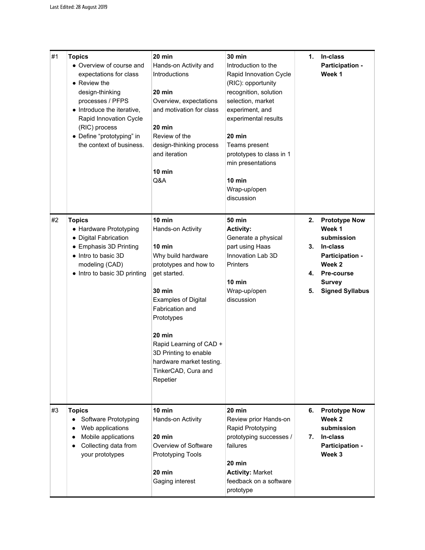| #1 | <b>Topics</b><br>• Overview of course and<br>expectations for class<br>$\bullet$ Review the<br>design-thinking<br>processes / PFPS<br>• Introduce the iterative,<br>Rapid Innovation Cycle<br>(RIC) process<br>• Define "prototyping" in<br>the context of business. | 20 min<br>Hands-on Activity and<br>Introductions<br>20 min<br>Overview, expectations<br>and motivation for class<br>20 min<br>Review of the<br>design-thinking process<br>and iteration<br>10 min<br>Q&A                                                                                                              | <b>30 min</b><br>Introduction to the<br>Rapid Innovation Cycle<br>(RIC): opportunity<br>recognition, solution<br>selection, market<br>experiment, and<br>experimental results<br>20 min<br>Teams present<br>prototypes to class in 1<br>min presentations<br>10 min<br>Wrap-up/open<br>discussion | 1.                   | In-class<br>Participation -<br>Week 1                                                                                                                 |
|----|----------------------------------------------------------------------------------------------------------------------------------------------------------------------------------------------------------------------------------------------------------------------|-----------------------------------------------------------------------------------------------------------------------------------------------------------------------------------------------------------------------------------------------------------------------------------------------------------------------|---------------------------------------------------------------------------------------------------------------------------------------------------------------------------------------------------------------------------------------------------------------------------------------------------|----------------------|-------------------------------------------------------------------------------------------------------------------------------------------------------|
| #2 | <b>Topics</b><br>• Hardware Prototyping<br>• Digital Fabrication<br>• Emphasis 3D Printing<br>• Intro to basic 3D<br>modeling (CAD)<br>• Intro to basic 3D printing                                                                                                  | $10$ min<br>Hands-on Activity<br>10 min<br>Why build hardware<br>prototypes and how to<br>get started.<br><b>30 min</b><br><b>Examples of Digital</b><br>Fabrication and<br>Prototypes<br>$20$ min<br>Rapid Learning of CAD +<br>3D Printing to enable<br>hardware market testing.<br>TinkerCAD, Cura and<br>Repetier | <b>50 min</b><br><b>Activity:</b><br>Generate a physical<br>part using Haas<br>Innovation Lab 3D<br><b>Printers</b><br>$10 \text{ min}$<br>Wrap-up/open<br>discussion                                                                                                                             | 2.<br>3.<br>4.<br>5. | <b>Prototype Now</b><br>Week 1<br>submission<br>In-class<br>Participation -<br>Week 2<br><b>Pre-course</b><br><b>Survey</b><br><b>Signed Syllabus</b> |
| #3 | <b>Topics</b><br>Software Prototyping<br>٠<br>Web applications<br>Mobile applications<br>Collecting data from<br>٠<br>your prototypes                                                                                                                                | $10$ min<br>Hands-on Activity<br>20 min<br>Overview of Software<br><b>Prototyping Tools</b><br>20 min<br>Gaging interest                                                                                                                                                                                              | 20 min<br>Review prior Hands-on<br>Rapid Prototyping<br>prototyping successes /<br>failures<br>20 min<br><b>Activity: Market</b><br>feedback on a software<br>prototype                                                                                                                           | 6.<br>7.             | <b>Prototype Now</b><br>Week 2<br>submission<br>In-class<br>Participation -<br>Week 3                                                                 |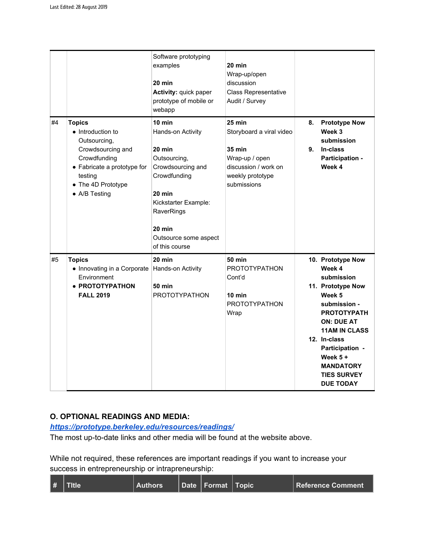|    |                                                                                                                                                                                  | Software prototyping<br>examples<br>$20 \text{ min}$<br>Activity: quick paper<br>prototype of mobile or<br>webapp                                                                                                     | 20 min<br>Wrap-up/open<br>discussion<br>Class Representative<br>Audit / Survey                                            |          |                                                                                                                                                                                                                                                                            |
|----|----------------------------------------------------------------------------------------------------------------------------------------------------------------------------------|-----------------------------------------------------------------------------------------------------------------------------------------------------------------------------------------------------------------------|---------------------------------------------------------------------------------------------------------------------------|----------|----------------------------------------------------------------------------------------------------------------------------------------------------------------------------------------------------------------------------------------------------------------------------|
| #4 | <b>Topics</b><br>• Introduction to<br>Outsourcing,<br>Crowdsourcing and<br>Crowdfunding<br>• Fabricate a prototype for<br>testing<br>• The 4D Prototype<br>$\bullet$ A/B Testing | $10 \text{ min}$<br>Hands-on Activity<br>$20$ min<br>Outsourcing,<br>Crowdsourcing and<br>Crowdfunding<br>$20 \text{ min}$<br>Kickstarter Example:<br>RaverRings<br>20 min<br>Outsource some aspect<br>of this course | 25 min<br>Storyboard a viral video<br>35 min<br>Wrap-up / open<br>discussion / work on<br>weekly prototype<br>submissions | 8.<br>9. | <b>Prototype Now</b><br>Week 3<br>submission<br>In-class<br>Participation -<br>Week 4                                                                                                                                                                                      |
| #5 | <b>Topics</b><br>• Innovating in a Corporate<br>Environment<br>• PROTOTYPATHON<br><b>FALL 2019</b>                                                                               | 20 min<br>Hands-on Activity<br><b>50 min</b><br><b>PROTOTYPATHON</b>                                                                                                                                                  | <b>50 min</b><br><b>PROTOTYPATHON</b><br>Cont'd<br>10 min<br><b>PROTOTYPATHON</b><br>Wrap                                 |          | 10. Prototype Now<br>Week 4<br>submission<br>11. Prototype Now<br>Week 5<br>submission -<br><b>PROTOTYPATH</b><br><b>ON: DUE AT</b><br><b>11AM IN CLASS</b><br>12. In-class<br>Participation -<br>Week $5 +$<br><b>MANDATORY</b><br><b>TIES SURVEY</b><br><b>DUE TODAY</b> |

## **O. OPTIONAL READINGS AND MEDIA:**

### *<https://prototype.berkeley.edu/resources/readings/>*

The most up-to-date links and other media will be found at the website above.

While not required, these references are important readings if you want to increase your success in entrepreneurship or intrapreneurship: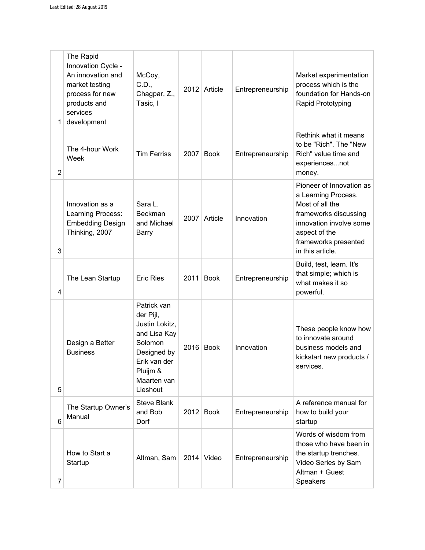| 1              | The Rapid<br>Innovation Cycle -<br>An innovation and<br>market testing<br>process for new<br>products and<br>services<br>development | McCoy,<br>C.D.,<br>Chagpar, Z.,<br>Tasic, I                                                                                                 |      | 2012 Article | Entrepreneurship | Market experimentation<br>process which is the<br>foundation for Hands-on<br>Rapid Prototyping                                                                                      |
|----------------|--------------------------------------------------------------------------------------------------------------------------------------|---------------------------------------------------------------------------------------------------------------------------------------------|------|--------------|------------------|-------------------------------------------------------------------------------------------------------------------------------------------------------------------------------------|
| $\overline{2}$ | The 4-hour Work<br>Week                                                                                                              | <b>Tim Ferriss</b>                                                                                                                          | 2007 | <b>Book</b>  | Entrepreneurship | Rethink what it means<br>to be "Rich". The "New<br>Rich" value time and<br>experiencesnot<br>money.                                                                                 |
| 3              | Innovation as a<br>Learning Process:<br><b>Embedding Design</b><br>Thinking, 2007                                                    | Sara L.<br>Beckman<br>and Michael<br>Barry                                                                                                  | 2007 | Article      | Innovation       | Pioneer of Innovation as<br>a Learning Process.<br>Most of all the<br>frameworks discussing<br>innovation involve some<br>aspect of the<br>frameworks presented<br>in this article. |
| 4              | The Lean Startup                                                                                                                     | <b>Eric Ries</b>                                                                                                                            | 2011 | <b>Book</b>  | Entrepreneurship | Build, test, learn. It's<br>that simple; which is<br>what makes it so<br>powerful.                                                                                                  |
| 5              | Design a Better<br><b>Business</b>                                                                                                   | Patrick van<br>der Pijl,<br>Justin Lokitz,<br>and Lisa Kay<br>Solomon<br>Designed by<br>Erik van der<br>Pluijm &<br>Maarten van<br>Lieshout |      | 2016 Book    | Innovation       | These people know how<br>to innovate around<br>business models and<br>kickstart new products /<br>services.                                                                         |
| 6              | The Startup Owner's<br>Manual                                                                                                        | <b>Steve Blank</b><br>and Bob<br>Dorf                                                                                                       |      | 2012 Book    | Entrepreneurship | A reference manual for<br>how to build your<br>startup                                                                                                                              |
| 7              | How to Start a<br>Startup                                                                                                            | Altman, Sam                                                                                                                                 |      | $2014$ Video | Entrepreneurship | Words of wisdom from<br>those who have been in<br>the startup trenches.<br>Video Series by Sam<br>Altman + Guest<br>Speakers                                                        |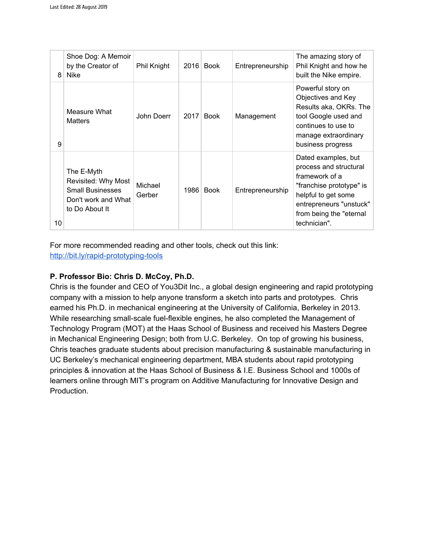| 8  | Shoe Dog: A Memoir<br>by the Creator of<br><b>Nike</b>                                                | Phil Knight       | 2016 | <b>Book</b> | Entrepreneurship | The amazing story of<br>Phil Knight and how he<br>built the Nike empire.                                                                                                                 |
|----|-------------------------------------------------------------------------------------------------------|-------------------|------|-------------|------------------|------------------------------------------------------------------------------------------------------------------------------------------------------------------------------------------|
| 9  | Measure What<br><b>Matters</b>                                                                        | John Doerr        | 2017 | <b>Book</b> | Management       | Powerful story on<br>Objectives and Key<br>Results aka, OKRs. The<br>tool Google used and<br>continues to use to<br>manage extraordinary<br>business progress                            |
| 10 | The E-Myth<br>Revisited: Why Most<br><b>Small Businesses</b><br>Don't work and What<br>to Do About It | Michael<br>Gerber | 1986 | <b>Book</b> | Entrepreneurship | Dated examples, but<br>process and structural<br>framework of a<br>"franchise prototype" is<br>helpful to get some<br>entrepreneurs "unstuck"<br>from being the "eternal<br>technician". |

For more recommended reading and other tools, check out this link:

<http://bit.ly/rapid-prototyping-tools>

# **P. Professor Bio: Chris D. McCoy, Ph.D.**

Chris is the founder and CEO of You3Dit Inc., a global design engineering and rapid prototyping company with a mission to help anyone transform a sketch into parts and prototypes. Chris earned his Ph.D. in mechanical engineering at the University of California, Berkeley in 2013. While researching small-scale fuel-flexible engines, he also completed the Management of Technology Program (MOT) at the Haas School of Business and received his Masters Degree in Mechanical Engineering Design; both from U.C. Berkeley. On top of growing his business, Chris teaches graduate students about precision manufacturing & sustainable manufacturing in UC Berkeley's mechanical engineering department, MBA students about rapid prototyping principles & innovation at the Haas School of Business & I.E. Business School and 1000s of learners online through MIT's program on Additive Manufacturing for Innovative Design and Production.